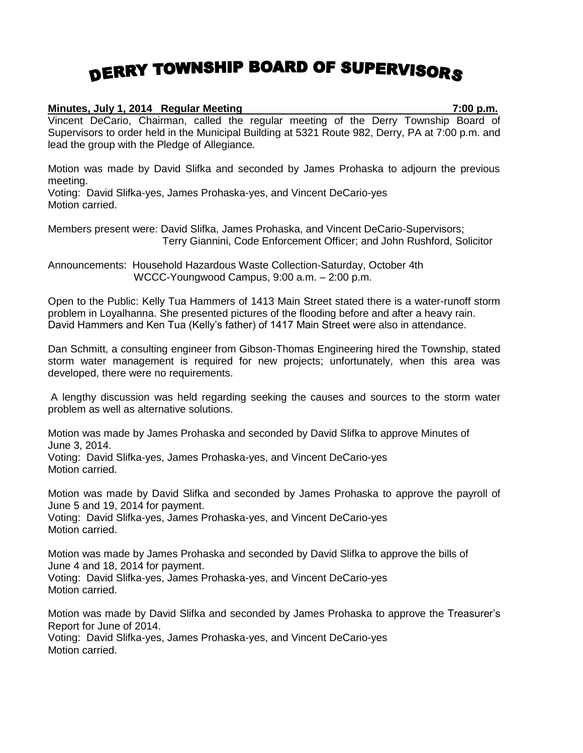## DERRY TOWNSHIP BOARD OF SUPERVISORS

## **Minutes, July 1, 2014 Regular Meeting 7:00 p.m.**

Vincent DeCario, Chairman, called the regular meeting of the Derry Township Board of Supervisors to order held in the Municipal Building at 5321 Route 982, Derry, PA at 7:00 p.m. and lead the group with the Pledge of Allegiance.

Motion was made by David Slifka and seconded by James Prohaska to adjourn the previous meeting.

Voting: David Slifka-yes, James Prohaska-yes, and Vincent DeCario-yes Motion carried.

Members present were: David Slifka, James Prohaska, and Vincent DeCario-Supervisors; Terry Giannini, Code Enforcement Officer; and John Rushford, Solicitor

Announcements: Household Hazardous Waste Collection-Saturday, October 4th WCCC-Youngwood Campus, 9:00 a.m. – 2:00 p.m.

Open to the Public: Kelly Tua Hammers of 1413 Main Street stated there is a water-runoff storm problem in Loyalhanna. She presented pictures of the flooding before and after a heavy rain. David Hammers and Ken Tua (Kelly's father) of 1417 Main Street were also in attendance.

Dan Schmitt, a consulting engineer from Gibson-Thomas Engineering hired the Township, stated storm water management is required for new projects; unfortunately, when this area was developed, there were no requirements.

A lengthy discussion was held regarding seeking the causes and sources to the storm water problem as well as alternative solutions.

Motion was made by James Prohaska and seconded by David Slifka to approve Minutes of June 3, 2014.

Voting: David Slifka-yes, James Prohaska-yes, and Vincent DeCario-yes Motion carried.

Motion was made by David Slifka and seconded by James Prohaska to approve the payroll of June 5 and 19, 2014 for payment.

Voting: David Slifka-yes, James Prohaska-yes, and Vincent DeCario-yes Motion carried.

Motion was made by James Prohaska and seconded by David Slifka to approve the bills of June 4 and 18, 2014 for payment.

Voting: David Slifka-yes, James Prohaska-yes, and Vincent DeCario-yes Motion carried.

Motion was made by David Slifka and seconded by James Prohaska to approve the Treasurer's Report for June of 2014.

Voting: David Slifka-yes, James Prohaska-yes, and Vincent DeCario-yes Motion carried.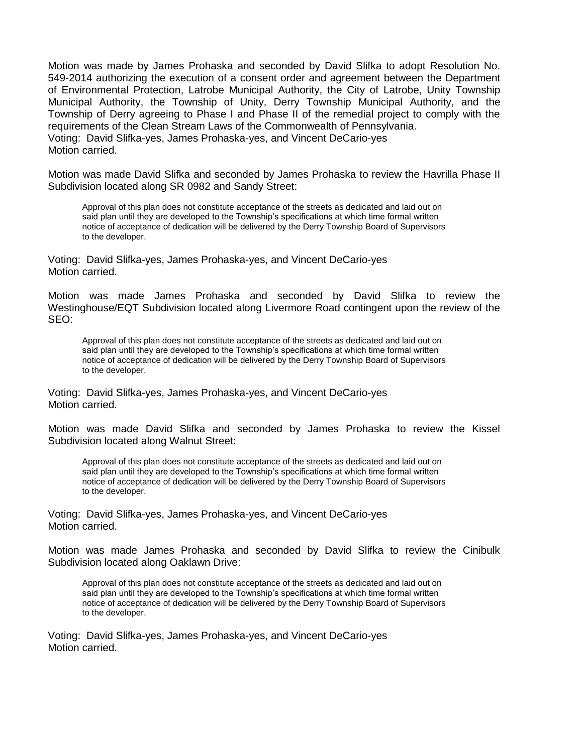Motion was made by James Prohaska and seconded by David Slifka to adopt Resolution No. 549-2014 authorizing the execution of a consent order and agreement between the Department of Environmental Protection, Latrobe Municipal Authority, the City of Latrobe, Unity Township Municipal Authority, the Township of Unity, Derry Township Municipal Authority, and the Township of Derry agreeing to Phase I and Phase II of the remedial project to comply with the requirements of the Clean Stream Laws of the Commonwealth of Pennsylvania. Voting: David Slifka-yes, James Prohaska-yes, and Vincent DeCario-yes Motion carried.

Motion was made David Slifka and seconded by James Prohaska to review the Havrilla Phase II Subdivision located along SR 0982 and Sandy Street:

Approval of this plan does not constitute acceptance of the streets as dedicated and laid out on said plan until they are developed to the Township's specifications at which time formal written notice of acceptance of dedication will be delivered by the Derry Township Board of Supervisors to the developer.

Voting: David Slifka-yes, James Prohaska-yes, and Vincent DeCario-yes Motion carried.

Motion was made James Prohaska and seconded by David Slifka to review the Westinghouse/EQT Subdivision located along Livermore Road contingent upon the review of the SEO:

Approval of this plan does not constitute acceptance of the streets as dedicated and laid out on said plan until they are developed to the Township's specifications at which time formal written notice of acceptance of dedication will be delivered by the Derry Township Board of Supervisors to the developer.

Voting: David Slifka-yes, James Prohaska-yes, and Vincent DeCario-yes Motion carried.

Motion was made David Slifka and seconded by James Prohaska to review the Kissel Subdivision located along Walnut Street:

Approval of this plan does not constitute acceptance of the streets as dedicated and laid out on said plan until they are developed to the Township's specifications at which time formal written notice of acceptance of dedication will be delivered by the Derry Township Board of Supervisors to the developer.

Voting: David Slifka-yes, James Prohaska-yes, and Vincent DeCario-yes Motion carried.

Motion was made James Prohaska and seconded by David Slifka to review the Cinibulk Subdivision located along Oaklawn Drive:

Approval of this plan does not constitute acceptance of the streets as dedicated and laid out on said plan until they are developed to the Township's specifications at which time formal written notice of acceptance of dedication will be delivered by the Derry Township Board of Supervisors to the developer.

Voting: David Slifka-yes, James Prohaska-yes, and Vincent DeCario-yes Motion carried.